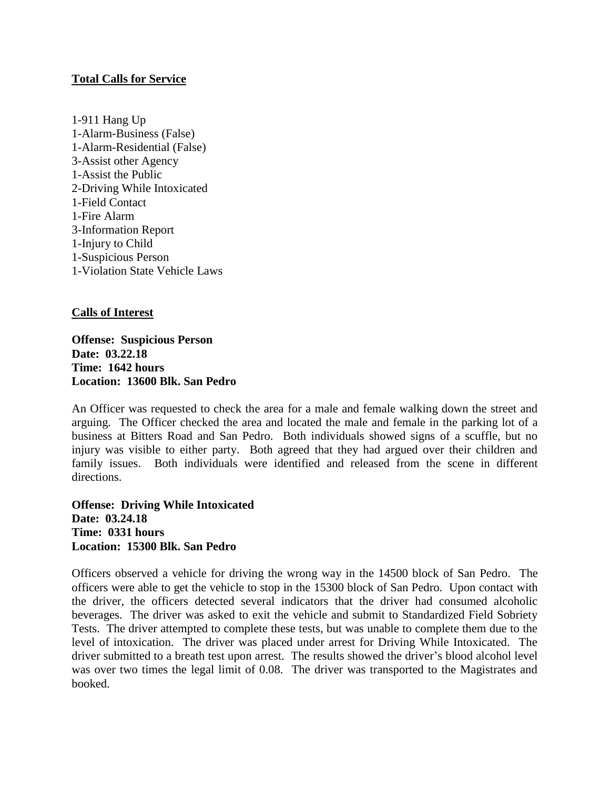## **Total Calls for Service**

1-911 Hang Up 1-Alarm-Business (False) 1-Alarm-Residential (False) 3-Assist other Agency 1-Assist the Public 2-Driving While Intoxicated 1-Field Contact 1-Fire Alarm 3-Information Report 1-Injury to Child 1-Suspicious Person 1-Violation State Vehicle Laws

## **Calls of Interest**

**Offense: Suspicious Person Date: 03.22.18 Time: 1642 hours Location: 13600 Blk. San Pedro**

An Officer was requested to check the area for a male and female walking down the street and arguing. The Officer checked the area and located the male and female in the parking lot of a business at Bitters Road and San Pedro. Both individuals showed signs of a scuffle, but no injury was visible to either party. Both agreed that they had argued over their children and family issues. Both individuals were identified and released from the scene in different directions.

**Offense: Driving While Intoxicated Date: 03.24.18 Time: 0331 hours Location: 15300 Blk. San Pedro**

Officers observed a vehicle for driving the wrong way in the 14500 block of San Pedro. The officers were able to get the vehicle to stop in the 15300 block of San Pedro. Upon contact with the driver, the officers detected several indicators that the driver had consumed alcoholic beverages. The driver was asked to exit the vehicle and submit to Standardized Field Sobriety Tests. The driver attempted to complete these tests, but was unable to complete them due to the level of intoxication. The driver was placed under arrest for Driving While Intoxicated. The driver submitted to a breath test upon arrest. The results showed the driver's blood alcohol level was over two times the legal limit of 0.08. The driver was transported to the Magistrates and booked.